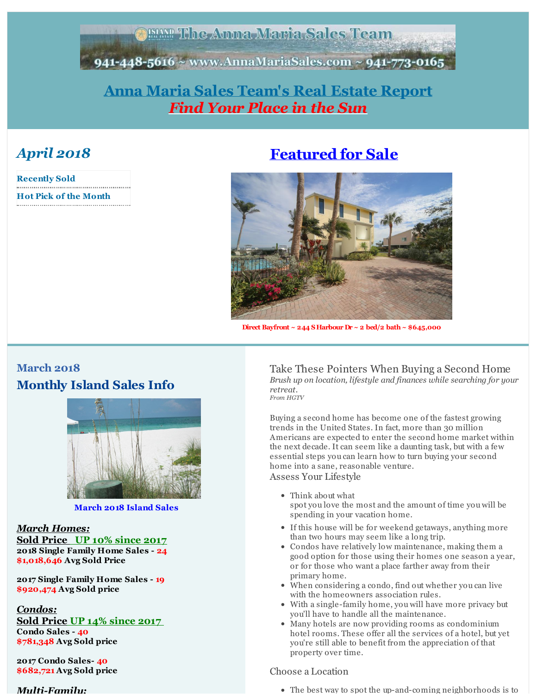#### **TEAMP The Anna Maria Sales Team**

<span id="page-0-0"></span>941-448-5616 ~ www.AnnaMariaSales.com ~ 941-773-0165

## **Anna Maria Sales [Team's](http://r20.rs6.net/tn.jsp?f=001L74Wr5vO6orRLLXj5DXh4r0scSlgxPCK22xfRLBTwuScTvi6MHQxILFTYln8Q_d4fYRU-blDyzc79qvjP8a8b09CegY4m7jnbCeA4IHSdV9jFF57IuqJgdDhn6jhrmLOP7UVJa0K2zPXFspV0TvOJmChn-mXj2Rl3SENOWjsebzVGQ6SHoTcjg==&c=&ch=) Real Estate Report** *Find Your Place in the Sun*

# *April 2018*

| <b>Recently Sold</b>         |  |
|------------------------------|--|
| <b>Hot Pick of the Month</b> |  |

# **[Featured](http://r20.rs6.net/tn.jsp?f=001L74Wr5vO6orRLLXj5DXh4r0scSlgxPCK22xfRLBTwuScTvi6MHQxIOZa8FbXr4dQhIjMtznWHrgWzJMfhMcUrM9kadTTQbepbJEQYZZ506lT8pmLRHPBNoTG0tFNf68xoql_IcKgGr2qR21fMmj2h6h2PtaQ2Dhw31U8_tQNBCuVHAOsTI5_8WYALk7m6X5XelohpyaXgevUhvW09q84FBKiuQq7UWin6Sw0-0PyYlk=&c=&ch=) for Sale**



**Direct Bayfront ~ 244 SHarbour Dr ~ 2 bed/2 bath~ \$645,000**

## **March 2018 Monthly Island Sales Info**



**March 2018 Island Sales**

#### *March Homes:*

**Sold Price UP 10% since 2017 2018 Single Family Home Sales - 24 \$1,018,646 Avg Sold Price**

**2017 Single Family Home Sales - 19 \$920,474 Avg Sold price**

*Condos:* **Sold Price UP 14% since 2017 Condo Sales - 40 \$781,348 Avg Sold price**

**2017 Condo Sales- 40 \$682,721 Avg Sold price**

*Multi-Family:*

Take These Pointers When Buying a Second Home *Brush up on location, lifestyle and finances while searching for your retreat. From HGTV*

Buying a second home has become one of the fastest growing trends in the United States. In fact, more than 30 million Americans are expected to enter the second home market within the next decade. It can seem like a daunting task, but with a few essential steps you can learn how to turn buying your second home into a sane, reasonable venture.

Assess Your Lifestyle

- Think about what spot you love the most and the amount of time you will be spending in your vacation home.
- If this house will be for weekend getaways, anything more than two hours may seem like a long trip.
- Condos have relatively low maintenance, making them a good option for those using their homes one season a year, or for those who want a place farther away from their primary home.
- When considering a condo, find out whether you can live with the homeowners association rules.
- With a single-family home, you will have more privacy but you'll have to handle all the maintenance.
- Many hotels are now providing rooms as condominium hotel rooms. These offer all the services of a hotel, but yet you're still able to benefit from the appreciation of that property over time.

#### Choose a Location

The best way to spot the up-and-coming neighborhoods is to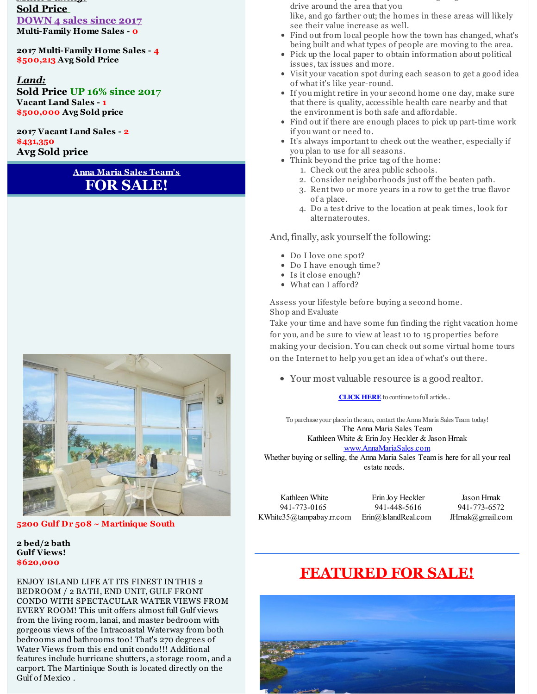*Multi-Family:* **Sold Price DOWN 4 sales since 2017 Multi-Family Home Sales - 0**

**2017 Multi-Family Home Sales - 4 \$500,213 Avg Sold Price**

*Land:* **Sold Price UP 16% since 2017 Vacant Land Sales - 1 \$500,000 Avg Sold price**

**2017 Vacant Land Sales - 2 \$431,350 Avg Sold price**

#### **Anna Maria Sales Team's FOR SALE!**



**5200 Gulf Dr 508 ~ Martinique South**

#### **2 bed/2 bath Gulf Views! \$620,000**

ENJOY ISLAND LIFE AT ITS FINEST IN THIS 2 BEDROOM / 2 BATH, END UNIT, GULF FRONT CONDO WITH SPECTACULAR WATER VIEWS FROM EVERY ROOM! This unit offers almost full Gulf views from the living room, lanai, and master bedroom with gorgeous views of the Intracoastal Waterway from both bedrooms and bathrooms too! That's 270 degrees of Water Views from this end unit condo!!! Additional features include hurricane shutters, a storage room, and a carport. The Martinique South is located directly on the Gulf of Mexico .

The best way to spot the up-and-coming neighborhoods is to drive around the area that you

like, and go farther out; the homes in these areas will likely see their value increase as well.

- Find out from local people how the town has changed, what's being built and what types of people are moving to the area.
- Pick up the local paper to obtain information about political issues, tax issues and more.
- Visit your vacation spot during each season to get a good idea of what it's like year-round.
- If you might retire in your second home one day, make sure that there is quality, accessible health care nearby and that the environment is both safe and affordable.
- Find out if there are enough places to pick up part-time work if you want or need to.
- It's always important to check out the weather, especially if you plan to use for all seasons.
- Think beyond the price tag of the home:
	- 1. Check out the area public schools.
	- 2. Consider neighborhoods just off the beaten path.
	- 3. Rent two or more years in a row to get the true flavor of a place.
	- 4. Do a test drive to the location at peak times, look for alternateroutes.

#### And,finally, ask yourself the following:

- Do I love one spot?
- Do I have enough time?
- Is it close enough?
- What can I afford?

Assess your lifestyle before buying a second home. Shop and Evaluate

Take your time and have some fun finding the right vacation home for you, and be sure to view at least 10 to 15 properties before making your decision. You can check out some virtual home tours on the Internet to help you get an idea of what's out there.

Your most valuable resource is a good realtor.

**[CLICK](http://r20.rs6.net/tn.jsp?f=001L74Wr5vO6orRLLXj5DXh4r0scSlgxPCK22xfRLBTwuScTvi6MHQxIAuemtHzwPeA-V62Llchaq3J3wh18922i42bC3-cEI6xfTn2jGtwrBcgt8sDnmFKj48Jwjh4dPjZVTGNfMl9mxSeAuXmpcQPIpujCtLAwMIRcqywz8XCP8B4ny5ezu85wuSbkm9vnbPYqMuSE8cInwnI0pmJLg8vWOfINJ4POdDSjKn2Xk8e5b6KP6kKNUWnAQ==&c=&ch=) HERE** to continue to full article...

To purchase your place in the sun, contact theAnna Maria Sales Team today! The Anna Maria Sales Team Kathleen White & Erin Joy Heckler & Jason Hrnak [www.AnnaMariaSales.com](http://r20.rs6.net/tn.jsp?f=001L74Wr5vO6orRLLXj5DXh4r0scSlgxPCK22xfRLBTwuScTvi6MHQxILFTYln8Q_d4fYRU-blDyzc79qvjP8a8b09CegY4m7jnbCeA4IHSdV9jFF57IuqJgdDhn6jhrmLOP7UVJa0K2zPXFspV0TvOJmChn-mXj2Rl3SENOWjsebzVGQ6SHoTcjg==&c=&ch=)

Whether buying or selling, the Anna Maria Sales Team is here for all your real estate needs.

Kathleen White 941-773-0165 KWhite35@tampabay.rr.com Erin@IslandReal.com

Erin Joy Heckler 941-448-5616

Jason Hrnak 941-773-6572 JHrnak@gmail.com

# **[FEATURED](http://r20.rs6.net/tn.jsp?f=001L74Wr5vO6orRLLXj5DXh4r0scSlgxPCK22xfRLBTwuScTvi6MHQxIOZa8FbXr4dQhIjMtznWHrgWzJMfhMcUrM9kadTTQbepbJEQYZZ506lT8pmLRHPBNoTG0tFNf68xoql_IcKgGr2qR21fMmj2h6h2PtaQ2Dhw31U8_tQNBCuVHAOsTI5_8WYALk7m6X5XelohpyaXgevUhvW09q84FBKiuQq7UWin6Sw0-0PyYlk=&c=&ch=) FOR SALE!**

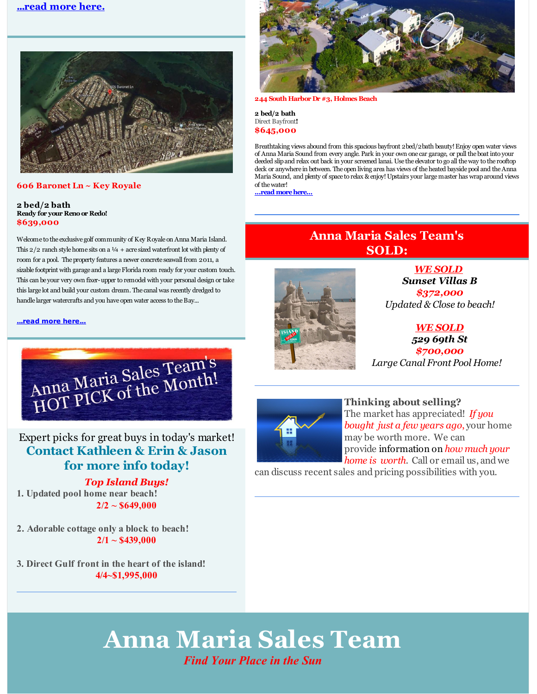#### **[...read](http://r20.rs6.net/tn.jsp?f=001L74Wr5vO6orRLLXj5DXh4r0scSlgxPCK22xfRLBTwuScTvi6MHQxIAuemtHzwPeAYLp6zW0NZgsA56ppJCceX4xDzZaBMmVCf_ZcBrVaSieCOnJ-xUVnPwkkk2w7WFvum41dBYJgmtqb78pSmd5bNJbrlvS916Gh1n0auRec4oY2issZh727JaNy6bY3uWsTUSUJ1N4ctSns5azgXolUlE_RiKByQFtuzhc7aEDFQmz60J5GqzMxqr4zmQOJjpSZ&c=&ch=) more here.**



#### **606 Baronet Ln ~ Key Royale**

#### **2 bed/2 bath Ready for your Renoor Redo! \$639,000**

Welcome to the exclusive golf community of Key Royale on Anna Maria Island. This  $2/2$  ranch style home sits on a  $\frac{1}{4}$  + acre sized waterfront lot with plenty of room for a pool. The property features a newer concrete seawall from 2011, a sizable footprint with garage and a large Florida room ready for your custom touch. This can be your very own fixer-upper to remodel with your personal design or take this large lot and build your custom dream. The canal was recently dredged to handle larger watercrafts and you have open water access to the Bay...

**[...read](http://r20.rs6.net/tn.jsp?f=001L74Wr5vO6orRLLXj5DXh4r0scSlgxPCK22xfRLBTwuScTvi6MHQxIAuemtHzwPeAD1rp06bogHHSoFFkhw6Wp3bKXmLaED8szHdkJSuDt5jP47AsF5BDDzZTHG7ogjNArWJXV1E69mM6JPw2A-8hmPacaMUFzJ7M3yNzA_eLUyNq836l50MM0c3PkbUQMFMnnbP3kiQhJ0_BYlA10gjMk0Zc0Ctdgq5h0VIFVMkYJowuVsK2Yb5-Cuu0Luk0UI1P&c=&ch=) more here...**



Expert picks for great buys in today's market! **Contact Kathleen & Erin & Jason for more info today!**

#### *Top Island Buys!*

**1. Updated pool home near beach! 2/2 ~ \$649,000**

**2. Adorable cottage only a block to beach! 2/1 ~ \$439,000**

**3. Direct Gulf front in the heart of the island! 4/4~\$1,995,000**



**244 South Harbor Dr #3, Holmes Beach**

**2 bed/2 bath** Direct Bayfront**! \$645,000**

Breathtaking views abound from this spacious bayfront 2bed/2bath beauty!Enjoy open water views of Anna Maria Sound from every angle. Park in your own one car garage, or pull theboat into your deeded slipand relax out back in your screened lanai. Use the elevator to go all theway to the rooftop deck or anywhere in between. The open living area has views of the heated bayside pool and the Anna Maria Sound, and plenty of space to relax & enjoy!Upstairs your largemaster has wraparound views of thewater!

**...read [morehere...](http://r20.rs6.net/tn.jsp?f=001L74Wr5vO6orRLLXj5DXh4r0scSlgxPCK22xfRLBTwuScTvi6MHQxIAuemtHzwPeAKdL5rRISZMqpUqEuQYbb3VnT7HOu97Jicoml9IjxNm2uHVAHBn8YMGLyOlzxKagNNqenoijIGGK5u5LOYSnR5suu7nmlGoWH2deJJV6ToPA_9v8rolzxO8TvDAeHvSs5bnBTejdMI9zP_STLDRhzpsS1MdvhyJ02kiuplYCaB_E11PzgZF0qV-qjxx6cG2Bu&c=&ch=)**

### **Anna Maria Sales Team's SOLD:**



*WE SOLD Sunset Villas B \$372,000 Updated & Close to beach!*

#### *WE SOLD 529 69th St \$700,000 Large Canal Front Pool Home!*



**Thinking about selling?** The market has appreciated! *If you bought just a few years ago*, your home may be worth more. We can provide information on *how much your home is worth*. Call or email us, and we

can discuss recent sales and pricing possibilities with you.

# **Anna Maria Sales Team**

#### *Find Your Place in the Sun*